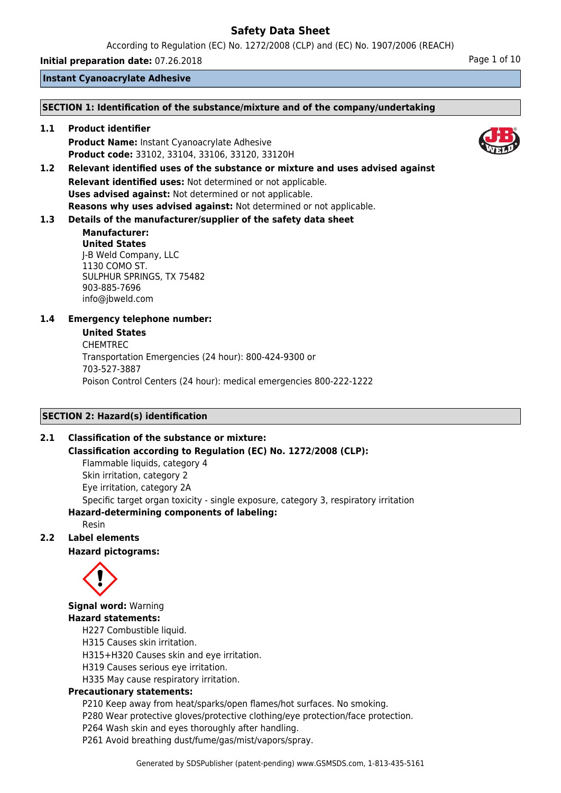According to Regulation (EC) No. 1272/2008 (CLP) and (EC) No. 1907/2006 (REACH)

**Initial preparation date:** 07.26.2018 **Page 1 of 10** 

**Instant Cyanoacrylate Adhesive**

### **SECTION 1: Identification of the substance/mixture and of the company/undertaking**

**1.1 Product identifier Product Name:** Instant Cyanoacrylate Adhesive **Product code:** 33102, 33104, 33106, 33120, 33120H

**1.2 Relevant identified uses of the substance or mixture and uses advised against Relevant identified uses:** Not determined or not applicable. **Uses advised against:** Not determined or not applicable. **Reasons why uses advised against:** Not determined or not applicable.

## **1.3 Details of the manufacturer/supplier of the safety data sheet**

**Manufacturer: United States** J-B Weld Company, LLC 1130 COMO ST. SULPHUR SPRINGS, TX 75482 903-885-7696 info@jbweld.com

## **1.4 Emergency telephone number:**

### **United States**

CHEMTREC Transportation Emergencies (24 hour): 800-424-9300 or 703-527-3887 Poison Control Centers (24 hour): medical emergencies 800-222-1222

## **SECTION 2: Hazard(s) identification**

## **2.1 Classification of the substance or mixture:**

**Classification according to Regulation (EC) No. 1272/2008 (CLP):**

Flammable liquids, category 4 Skin irritation, category 2 Eye irritation, category 2A Specific target organ toxicity - single exposure, category 3, respiratory irritation **Hazard-determining components of labeling:**

Resin

## **2.2 Label elements**

**Hazard pictograms:**



**Signal word:** Warning

## **Hazard statements:**

H227 Combustible liquid.

- H315 Causes skin irritation.
- H315+H320 Causes skin and eye irritation.
- H319 Causes serious eye irritation.
- H335 May cause respiratory irritation.

## **Precautionary statements:**

- P210 Keep away from heat/sparks/open flames/hot surfaces. No smoking.
- P280 Wear protective gloves/protective clothing/eye protection/face protection.
- P264 Wash skin and eyes thoroughly after handling.
- P261 Avoid breathing dust/fume/gas/mist/vapors/spray.

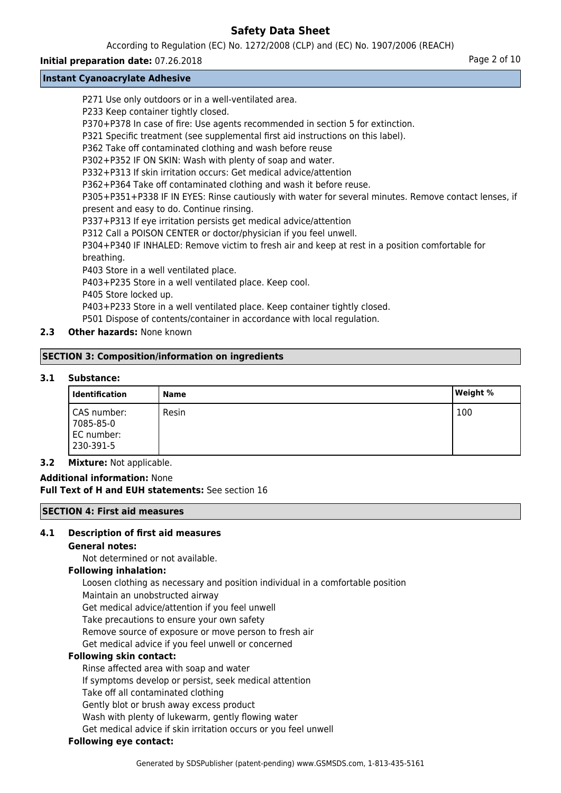According to Regulation (EC) No. 1272/2008 (CLP) and (EC) No. 1907/2006 (REACH)

### **Initial preparation date:** 07.26.2018 **Page 2 of 10**

## **Instant Cyanoacrylate Adhesive**

P271 Use only outdoors or in a well-ventilated area. P233 Keep container tightly closed. P370+P378 In case of fire: Use agents recommended in section 5 for extinction. P321 Specific treatment (see supplemental first aid instructions on this label). P362 Take off contaminated clothing and wash before reuse P302+P352 IF ON SKIN: Wash with plenty of soap and water. P332+P313 If skin irritation occurs: Get medical advice/attention P362+P364 Take off contaminated clothing and wash it before reuse. P305+P351+P338 IF IN EYES: Rinse cautiously with water for several minutes. Remove contact lenses, if present and easy to do. Continue rinsing. P337+P313 If eye irritation persists get medical advice/attention P312 Call a POISON CENTER or doctor/physician if you feel unwell. P304+P340 IF INHALED: Remove victim to fresh air and keep at rest in a position comfortable for breathing. P403 Store in a well ventilated place. P403+P235 Store in a well ventilated place. Keep cool. P405 Store locked up. P403+P233 Store in a well ventilated place. Keep container tightly closed. P501 Dispose of contents/container in accordance with local regulation.

## **2.3 Other hazards:** None known

## **SECTION 3: Composition/information on ingredients**

## **3.1 Substance:**

| Identification                                      | <b>Name</b> | <b>Weight %</b> |
|-----------------------------------------------------|-------------|-----------------|
| CAS number:<br>7085-85-0<br>EC number:<br>230-391-5 | Resin       | 100             |

## **3.2 Mixture:** Not applicable.

**Additional information:** None **Full Text of H and EUH statements:** See section 16

## **SECTION 4: First aid measures**

## **4.1 Description of first aid measures**

## **General notes:**

Not determined or not available.

## **Following inhalation:**

Loosen clothing as necessary and position individual in a comfortable position Maintain an unobstructed airway Get medical advice/attention if you feel unwell Take precautions to ensure your own safety Remove source of exposure or move person to fresh air Get medical advice if you feel unwell or concerned

## **Following skin contact:**

Rinse affected area with soap and water If symptoms develop or persist, seek medical attention Take off all contaminated clothing Gently blot or brush away excess product Wash with plenty of lukewarm, gently flowing water Get medical advice if skin irritation occurs or you feel unwell

## **Following eye contact:**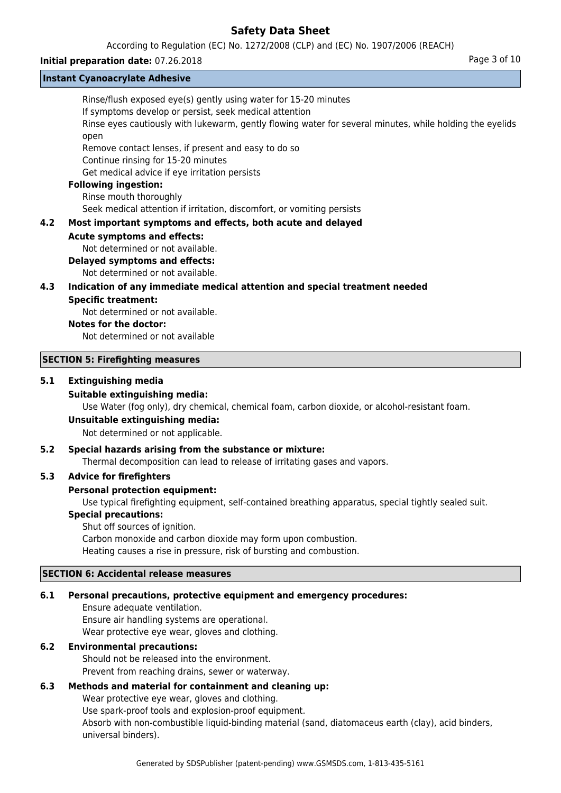According to Regulation (EC) No. 1272/2008 (CLP) and (EC) No. 1907/2006 (REACH)

### **Initial preparation date:** 07.26.2018 **Page 3 of 10 Page 3 of 10**

# **Instant Cyanoacrylate Adhesive**

|     | <b>INSTANT CYANOACTYIALE AUNESIVE</b>                                                                                                                                                                                                              |
|-----|----------------------------------------------------------------------------------------------------------------------------------------------------------------------------------------------------------------------------------------------------|
|     | Rinse/flush exposed eye(s) gently using water for 15-20 minutes<br>If symptoms develop or persist, seek medical attention<br>Rinse eyes cautiously with lukewarm, gently flowing water for several minutes, while holding the eyelids<br>open      |
|     | Remove contact lenses, if present and easy to do so<br>Continue rinsing for 15-20 minutes<br>Get medical advice if eye irritation persists                                                                                                         |
|     | <b>Following ingestion:</b><br>Rinse mouth thoroughly<br>Seek medical attention if irritation, discomfort, or vomiting persists                                                                                                                    |
| 4.2 | Most important symptoms and effects, both acute and delayed                                                                                                                                                                                        |
|     | <b>Acute symptoms and effects:</b><br>Not determined or not available.<br><b>Delayed symptoms and effects:</b><br>Not determined or not available.                                                                                                 |
| 4.3 | Indication of any immediate medical attention and special treatment needed                                                                                                                                                                         |
|     | <b>Specific treatment:</b><br>Not determined or not available.<br><b>Notes for the doctor:</b><br>Not determined or not available                                                                                                                  |
|     | <b>SECTION 5: Firefighting measures</b>                                                                                                                                                                                                            |
| 5.1 | <b>Extinguishing media</b><br><b>Suitable extinguishing media:</b><br>Use Water (fog only), dry chemical, chemical foam, carbon dioxide, or alcohol-resistant foam.<br><b>Unsuitable extinguishing media:</b><br>Not determined or not applicable. |
|     |                                                                                                                                                                                                                                                    |

## **5.2 Special hazards arising from the substance or mixture:**

Thermal decomposition can lead to release of irritating gases and vapors.

## **5.3 Advice for firefighters**

### **Personal protection equipment:**

Use typical firefighting equipment, self-contained breathing apparatus, special tightly sealed suit.

### **Special precautions:**

Shut off sources of ignition. Carbon monoxide and carbon dioxide may form upon combustion. Heating causes a rise in pressure, risk of bursting and combustion.

## **SECTION 6: Accidental release measures**

### **6.1 Personal precautions, protective equipment and emergency procedures:**

Ensure adequate ventilation. Ensure air handling systems are operational. Wear protective eye wear, gloves and clothing.

## **6.2 Environmental precautions:**

Should not be released into the environment. Prevent from reaching drains, sewer or waterway.

## **6.3 Methods and material for containment and cleaning up:**

Wear protective eye wear, gloves and clothing. Use spark-proof tools and explosion-proof equipment. Absorb with non-combustible liquid-binding material (sand, diatomaceus earth (clay), acid binders, universal binders).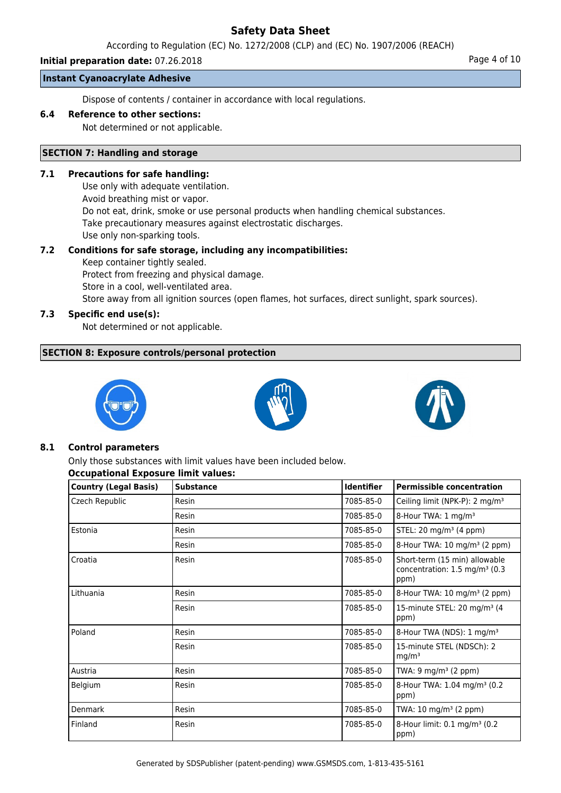According to Regulation (EC) No. 1272/2008 (CLP) and (EC) No. 1907/2006 (REACH)

### **Initial preparation date:** 07.26.2018 **Page 4 of 10**

**Instant Cyanoacrylate Adhesive**

Dispose of contents / container in accordance with local regulations.

### **6.4 Reference to other sections:**

Not determined or not applicable.

## **SECTION 7: Handling and storage**

### **7.1 Precautions for safe handling:**

Use only with adequate ventilation. Avoid breathing mist or vapor. Do not eat, drink, smoke or use personal products when handling chemical substances. Take precautionary measures against electrostatic discharges. Use only non-sparking tools.

# **7.2 Conditions for safe storage, including any incompatibilities:**

Keep container tightly sealed. Protect from freezing and physical damage. Store in a cool, well-ventilated area. Store away from all ignition sources (open flames, hot surfaces, direct sunlight, spark sources).

## **7.3 Specific end use(s):**

Not determined or not applicable.

## **SECTION 8: Exposure controls/personal protection**







## **8.1 Control parameters**

Only those substances with limit values have been included below.

## **Occupational Exposure limit values:**

| Country (Legal Basis) | <b>Substance</b> | <b>Identifier</b> | <b>Permissible concentration</b>                                                   |
|-----------------------|------------------|-------------------|------------------------------------------------------------------------------------|
| Czech Republic        | Resin            | 7085-85-0         | Ceiling limit (NPK-P): 2 mg/m <sup>3</sup>                                         |
|                       | Resin            | 7085-85-0         | 8-Hour TWA: 1 mg/m <sup>3</sup>                                                    |
| Estonia               | Resin            | 7085-85-0         | STEL: 20 mg/m <sup>3</sup> (4 ppm)                                                 |
|                       | Resin            | 7085-85-0         | 8-Hour TWA: 10 mg/m <sup>3</sup> (2 ppm)                                           |
| Croatia               | Resin            | 7085-85-0         | Short-term (15 min) allowable<br>concentration: 1.5 mg/m <sup>3</sup> (0.3<br>ppm) |
| Lithuania             | Resin            | 7085-85-0         | 8-Hour TWA: $10 \text{ mg/m}^3$ (2 ppm)                                            |
|                       | Resin            | 7085-85-0         | 15-minute STEL: 20 mg/m <sup>3</sup> (4<br>ppm)                                    |
| l Poland              | Resin            | 7085-85-0         | 8-Hour TWA (NDS): 1 mg/m <sup>3</sup>                                              |
|                       | Resin            | 7085-85-0         | 15-minute STEL (NDSCh): 2<br>mq/m <sup>3</sup>                                     |
| Austria               | Resin            | 7085-85-0         | TWA: 9 mg/m <sup>3</sup> (2 ppm)                                                   |
| <b>Belgium</b>        | Resin            | 7085-85-0         | 8-Hour TWA: 1.04 mg/m <sup>3</sup> (0.2)<br>ppm)                                   |
| Denmark               | Resin            | 7085-85-0         | TWA: $10 \text{ mg/m}^3$ (2 ppm)                                                   |
| Finland               | Resin            | 7085-85-0         | 8-Hour limit: 0.1 mg/m <sup>3</sup> (0.2)<br>ppm)                                  |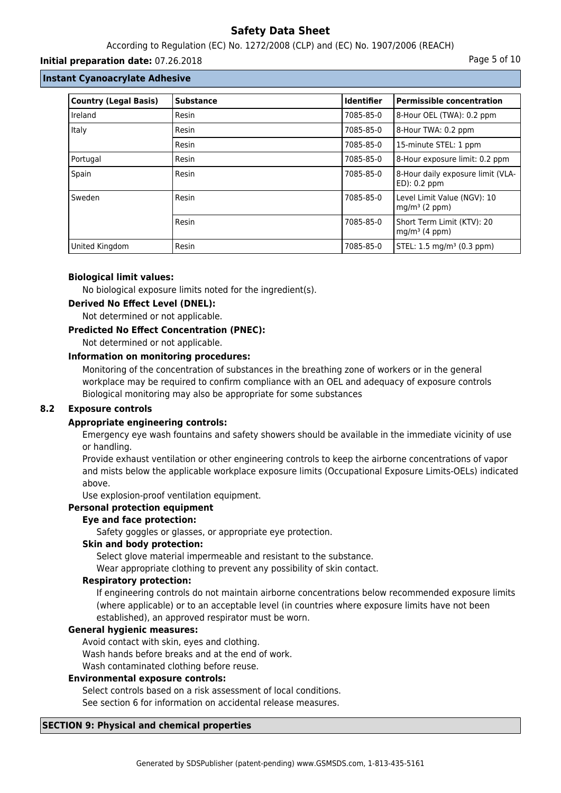## According to Regulation (EC) No. 1272/2008 (CLP) and (EC) No. 1907/2006 (REACH)

### **Initial preparation date:** 07.26.2018 **Page 1 and 2018** Page 5 of 10

### **Instant Cyanoacrylate Adhesive**

| <b>Country (Legal Basis)</b> | <b>Substance</b> | Identifier | <b>Permissible concentration</b>                         |
|------------------------------|------------------|------------|----------------------------------------------------------|
| Ireland                      | Resin            | 7085-85-0  | 8-Hour OEL (TWA): 0.2 ppm                                |
| Italy                        | Resin            | 7085-85-0  | 8-Hour TWA: 0.2 ppm                                      |
|                              | Resin            | 7085-85-0  | 15-minute STEL: 1 ppm                                    |
| Portugal                     | Resin            | 7085-85-0  | 8-Hour exposure limit: 0.2 ppm                           |
| Spain                        | Resin            | 7085-85-0  | 8-Hour daily exposure limit (VLA-<br>$ED$ : 0.2 ppm      |
| Sweden                       | Resin            | 7085-85-0  | Level Limit Value (NGV): 10<br>mg/m <sup>3</sup> (2 ppm) |
|                              | Resin            | 7085-85-0  | Short Term Limit (KTV): 20<br>mg/m <sup>3</sup> (4 ppm)  |
| United Kingdom               | Resin            | 7085-85-0  | STEL: 1.5 mg/m <sup>3</sup> (0.3 ppm)                    |

### **Biological limit values:**

No biological exposure limits noted for the ingredient(s).

### **Derived No Effect Level (DNEL):**

Not determined or not applicable.

### **Predicted No Effect Concentration (PNEC):**

Not determined or not applicable.

## **Information on monitoring procedures:**

Monitoring of the concentration of substances in the breathing zone of workers or in the general workplace may be required to confirm compliance with an OEL and adequacy of exposure controls Biological monitoring may also be appropriate for some substances

## **8.2 Exposure controls**

## **Appropriate engineering controls:**

Emergency eye wash fountains and safety showers should be available in the immediate vicinity of use or handling.

Provide exhaust ventilation or other engineering controls to keep the airborne concentrations of vapor and mists below the applicable workplace exposure limits (Occupational Exposure Limits-OELs) indicated above.

Use explosion-proof ventilation equipment.

## **Personal protection equipment**

## **Eye and face protection:**

Safety goggles or glasses, or appropriate eye protection.

### **Skin and body protection:**

Select glove material impermeable and resistant to the substance.

Wear appropriate clothing to prevent any possibility of skin contact.

### **Respiratory protection:**

If engineering controls do not maintain airborne concentrations below recommended exposure limits (where applicable) or to an acceptable level (in countries where exposure limits have not been established), an approved respirator must be worn.

### **General hygienic measures:**

Avoid contact with skin, eyes and clothing.

Wash hands before breaks and at the end of work.

Wash contaminated clothing before reuse.

### **Environmental exposure controls:**

Select controls based on a risk assessment of local conditions. See section 6 for information on accidental release measures.

# **SECTION 9: Physical and chemical properties**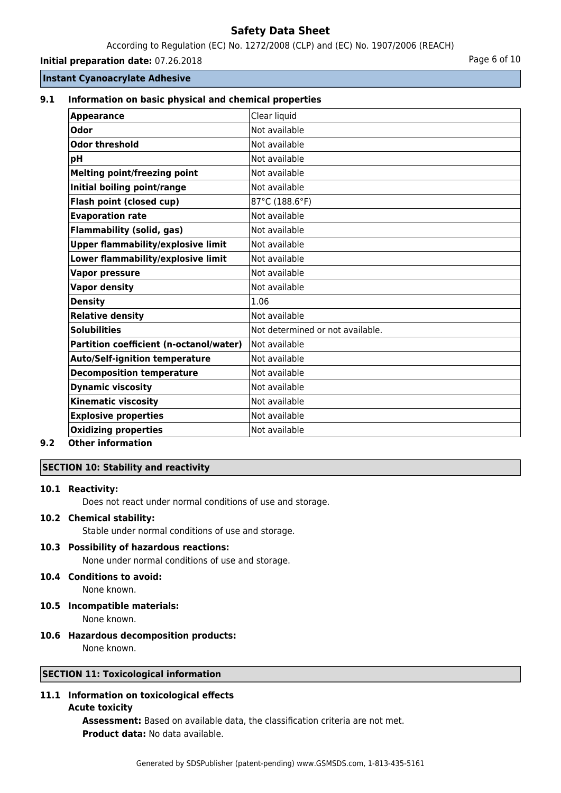According to Regulation (EC) No. 1272/2008 (CLP) and (EC) No. 1907/2006 (REACH)

**Initial preparation date:** 07.26.2018 **Page 6 of 10** 

## **Instant Cyanoacrylate Adhesive**

### **9.1 Information on basic physical and chemical properties**

| <b>Appearance</b>                              | Clear liquid                     |
|------------------------------------------------|----------------------------------|
| Odor                                           | Not available                    |
| <b>Odor threshold</b>                          | Not available                    |
| рH                                             | Not available                    |
| <b>Melting point/freezing point</b>            | Not available                    |
| Initial boiling point/range                    | Not available                    |
| Flash point (closed cup)                       | 87°C (188.6°F)                   |
| <b>Evaporation rate</b>                        | Not available                    |
| <b>Flammability (solid, gas)</b>               | Not available                    |
| <b>Upper flammability/explosive limit</b>      | Not available                    |
| Lower flammability/explosive limit             | Not available                    |
| <b>Vapor pressure</b>                          | Not available                    |
| <b>Vapor density</b>                           | Not available                    |
| <b>Density</b>                                 | 1.06                             |
| <b>Relative density</b>                        | Not available                    |
| <b>Solubilities</b>                            | Not determined or not available. |
| <b>Partition coefficient (n-octanol/water)</b> | Not available                    |
| <b>Auto/Self-ignition temperature</b>          | Not available                    |
| <b>Decomposition temperature</b>               | Not available                    |
| <b>Dynamic viscosity</b>                       | Not available                    |
| <b>Kinematic viscosity</b>                     | Not available                    |
| <b>Explosive properties</b>                    | Not available                    |
| <b>Oxidizing properties</b>                    | Not available                    |

## **9.2 Other information**

## **SECTION 10: Stability and reactivity**

### **10.1 Reactivity:**

Does not react under normal conditions of use and storage.

### **10.2 Chemical stability:**

Stable under normal conditions of use and storage.

## **10.3 Possibility of hazardous reactions:**

None under normal conditions of use and storage.

- **10.4 Conditions to avoid:** None known.
- **10.5 Incompatible materials:** None known.

# **10.6 Hazardous decomposition products:**

None known.

## **SECTION 11: Toxicological information**

## **11.1 Information on toxicological effects**

### **Acute toxicity**

**Assessment:** Based on available data, the classification criteria are not met. **Product data:** No data available.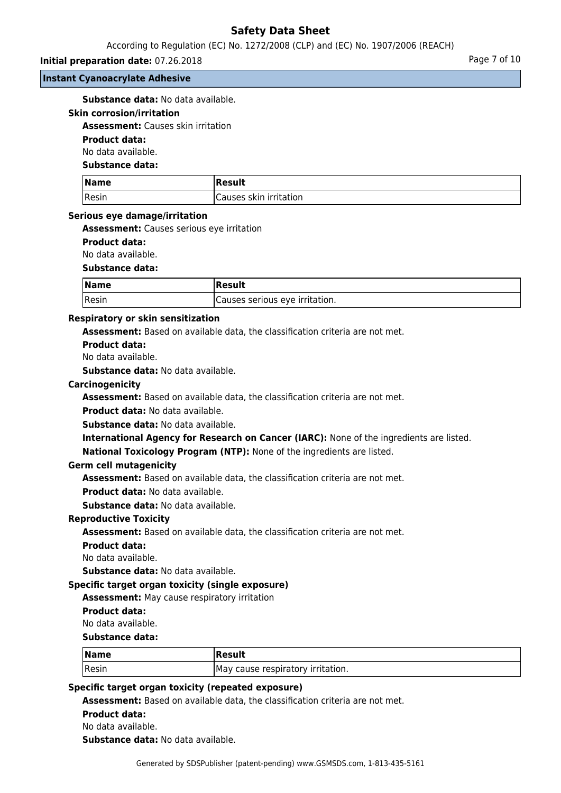According to Regulation (EC) No. 1272/2008 (CLP) and (EC) No. 1907/2006 (REACH)

### **Initial preparation date:** 07.26.2018 **Page 7 of 10**

#### **Instant Cyanoacrylate Adhesive**

**Substance data:** No data available.

#### **Skin corrosion/irritation**

**Assessment:** Causes skin irritation

## **Product data:**

No data available.

### **Substance data:**

| Name  | Result                 |
|-------|------------------------|
| Resin | Causes skin irritation |

### **Serious eye damage/irritation**

**Assessment:** Causes serious eye irritation

### **Product data:**

No data available.

### **Substance data:**

| $\sqrt{\mathsf{Name}}$ | <b>Result</b>                  |
|------------------------|--------------------------------|
| Resin                  | Causes serious eye irritation. |

### **Respiratory or skin sensitization**

**Assessment:** Based on available data, the classification criteria are not met.

## **Product data:**

No data available.

**Substance data:** No data available.

#### **Carcinogenicity**

**Assessment:** Based on available data, the classification criteria are not met.

**Product data:** No data available.

**Substance data:** No data available.

**International Agency for Research on Cancer (IARC):** None of the ingredients are listed.

**National Toxicology Program (NTP):** None of the ingredients are listed.

### **Germ cell mutagenicity**

**Assessment:** Based on available data, the classification criteria are not met.

**Product data:** No data available.

**Substance data:** No data available.

### **Reproductive Toxicity**

**Assessment:** Based on available data, the classification criteria are not met.

#### **Product data:**

No data available.

**Substance data:** No data available.

### **Specific target organ toxicity (single exposure)**

**Assessment:** May cause respiratory irritation

#### **Product data:**

No data available.

**Substance data:**

| $\sqrt{\mathsf{Name}}$ | <b>Result</b>                     |
|------------------------|-----------------------------------|
| Resin                  | May cause respiratory irritation. |

### **Specific target organ toxicity (repeated exposure)**

**Assessment:** Based on available data, the classification criteria are not met.

**Product data:**

No data available.

**Substance data:** No data available.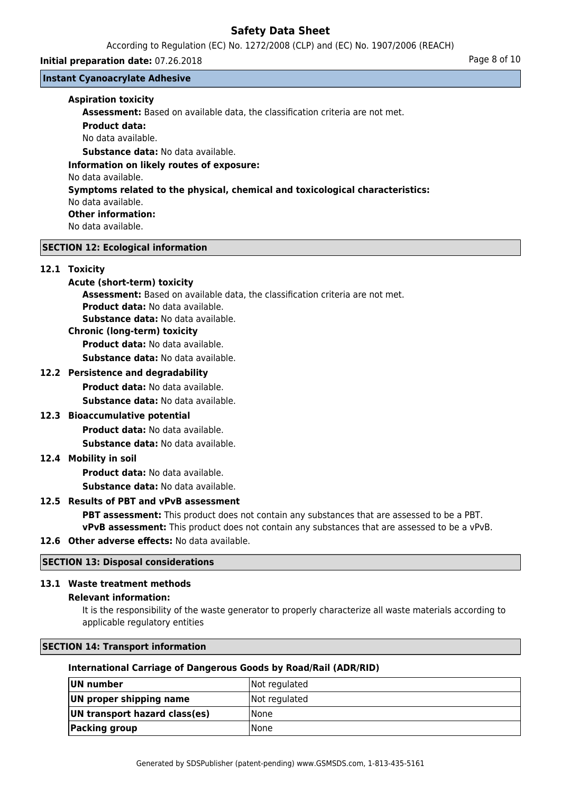According to Regulation (EC) No. 1272/2008 (CLP) and (EC) No. 1907/2006 (REACH)

### **Initial preparation date:** 07.26.2018 **Page 8 of 10**

**Instant Cyanoacrylate Adhesive**

### **Aspiration toxicity**

**Assessment:** Based on available data, the classification criteria are not met.

**Product data:**

No data available.

**Substance data:** No data available.

**Information on likely routes of exposure:**

No data available.

# **Symptoms related to the physical, chemical and toxicological characteristics:**

No data available.

# **Other information:**

No data available.

## **SECTION 12: Ecological information**

## **12.1 Toxicity**

## **Acute (short-term) toxicity**

**Assessment:** Based on available data, the classification criteria are not met. **Product data:** No data available. **Substance data:** No data available.

**Chronic (long-term) toxicity**

**Product data:** No data available.

**Substance data:** No data available.

## **12.2 Persistence and degradability**

**Product data:** No data available.

**Substance data:** No data available.

## **12.3 Bioaccumulative potential**

**Product data:** No data available.

**Substance data:** No data available.

## **12.4 Mobility in soil**

**Product data:** No data available.

**Substance data:** No data available.

## **12.5 Results of PBT and vPvB assessment**

**PBT assessment:** This product does not contain any substances that are assessed to be a PBT. **vPvB assessment:** This product does not contain any substances that are assessed to be a vPvB.

## **12.6 Other adverse effects:** No data available.

# **SECTION 13: Disposal considerations**

## **13.1 Waste treatment methods**

## **Relevant information:**

It is the responsibility of the waste generator to properly characterize all waste materials according to applicable regulatory entities

## **SECTION 14: Transport information**

## **International Carriage of Dangerous Goods by Road/Rail (ADR/RID)**

| UN number                     | Not regulated |
|-------------------------------|---------------|
| UN proper shipping name       | Not regulated |
| UN transport hazard class(es) | l None        |
| <b>Packing group</b>          | l None        |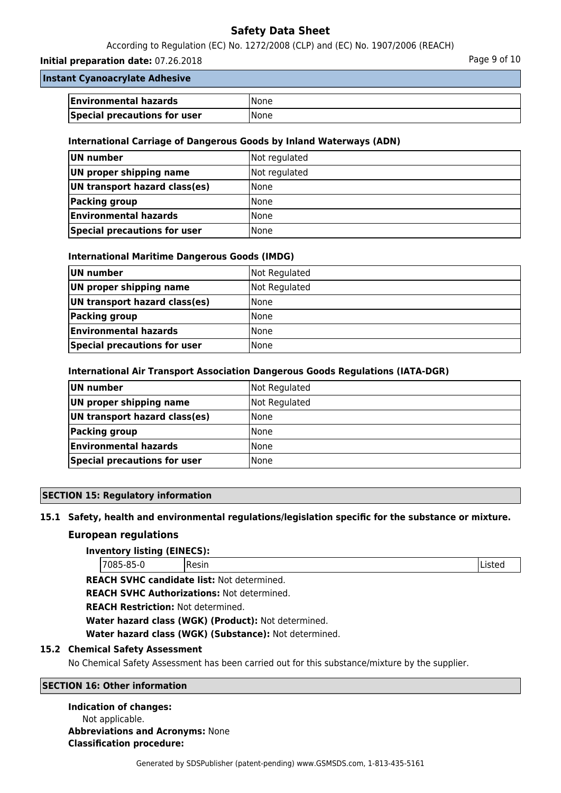According to Regulation (EC) No. 1272/2008 (CLP) and (EC) No. 1907/2006 (REACH)

### **Initial preparation date:** 07.26.2018 **Page 9 of 10**

## **Instant Cyanoacrylate Adhesive**

| <b>Environmental hazards</b> | <b>None</b>  |
|------------------------------|--------------|
| Special precautions for user | <b>INone</b> |

### **International Carriage of Dangerous Goods by Inland Waterways (ADN)**

| UN number                     | Not regulated |
|-------------------------------|---------------|
| UN proper shipping name       | Not regulated |
| UN transport hazard class(es) | l None        |
| Packing group                 | l None        |
| <b>Environmental hazards</b>  | l None        |
| Special precautions for user  | <b>None</b>   |

### **International Maritime Dangerous Goods (IMDG)**

| UN number                     | Not Regulated |
|-------------------------------|---------------|
| UN proper shipping name       | Not Regulated |
| UN transport hazard class(es) | l None        |
| Packing group                 | l None        |
| <b>Environmental hazards</b>  | None          |
| Special precautions for user  | <b>None</b>   |

### **International Air Transport Association Dangerous Goods Regulations (IATA-DGR)**

| UN number                     | Not Regulated |
|-------------------------------|---------------|
| UN proper shipping name       | Not Regulated |
| UN transport hazard class(es) | <b>None</b>   |
| Packing group                 | <b>None</b>   |
| <b>Environmental hazards</b>  | l None        |
| Special precautions for user  | l None        |

### **SECTION 15: Regulatory information**

### **15.1 Safety, health and environmental regulations/legislation specific for the substance or mixture.**

### **European regulations**

### **Inventory listing (EINECS):**

**REACH SVHC candidate list:** Not determined.

**REACH SVHC Authorizations:** Not determined.

**REACH Restriction:** Not determined.

**Water hazard class (WGK) (Product):** Not determined.

**Water hazard class (WGK) (Substance):** Not determined.

### **15.2 Chemical Safety Assessment**

No Chemical Safety Assessment has been carried out for this substance/mixture by the supplier.

## **SECTION 16: Other information**

#### **Indication of changes:**

Not applicable. **Abbreviations and Acronyms:** None **Classification procedure:**